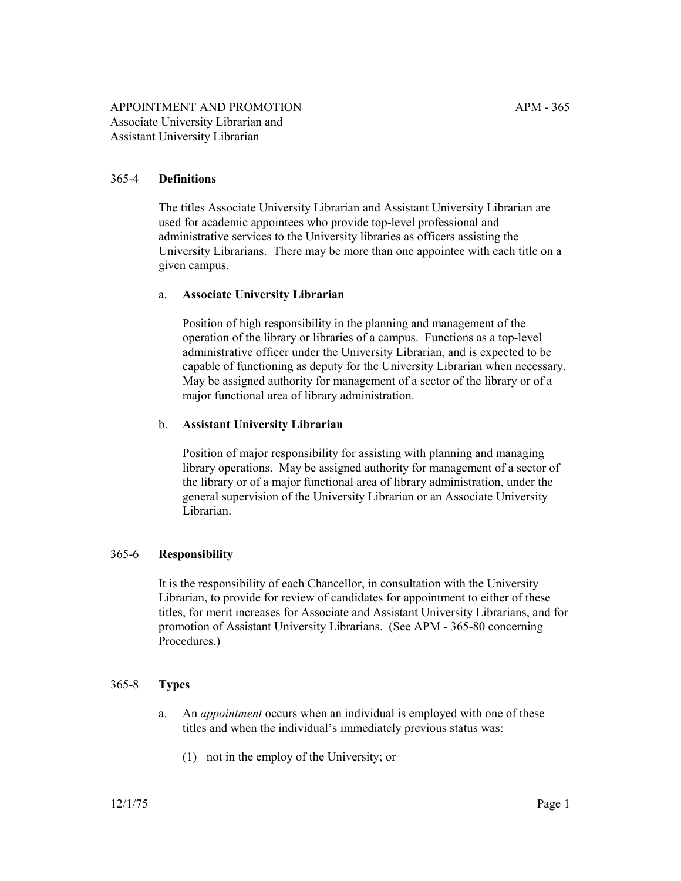# 365-4 **Definitions**

The titles Associate University Librarian and Assistant University Librarian are used for academic appointees who provide top-level professional and administrative services to the University libraries as officers assisting the University Librarians. There may be more than one appointee with each title on a given campus.

#### a. **Associate University Librarian**

Position of high responsibility in the planning and management of the operation of the library or libraries of a campus. Functions as a top-level administrative officer under the University Librarian, and is expected to be capable of functioning as deputy for the University Librarian when necessary. May be assigned authority for management of a sector of the library or of a major functional area of library administration.

#### b. **Assistant University Librarian**

Position of major responsibility for assisting with planning and managing library operations. May be assigned authority for management of a sector of the library or of a major functional area of library administration, under the general supervision of the University Librarian or an Associate University Librarian.

### 365-6 **Responsibility**

It is the responsibility of each Chancellor, in consultation with the University Librarian, to provide for review of candidates for appointment to either of these titles, for merit increases for Associate and Assistant University Librarians, and for promotion of Assistant University Librarians. (See APM - 365-80 concerning Procedures.)

#### 365-8 **Types**

- a. An *appointment* occurs when an individual is employed with one of these titles and when the individual's immediately previous status was:
	- (1) not in the employ of the University; or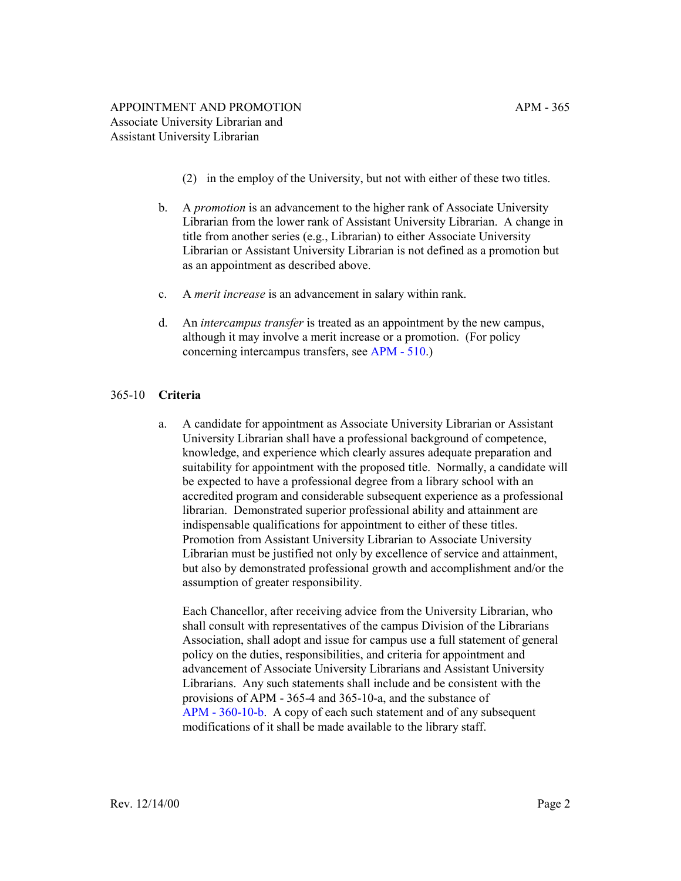- (2) in the employ of the University, but not with either of these two titles.
- b. A *promotion* is an advancement to the higher rank of Associate University Librarian from the lower rank of Assistant University Librarian. A change in title from another series (e.g., Librarian) to either Associate University Librarian or Assistant University Librarian is not defined as a promotion but as an appointment as described above.
- c. A *merit increase* is an advancement in salary within rank.
- d. An *intercampus transfer* is treated as an appointment by the new campus, although it may involve a merit increase or a promotion. (For policy concerning intercampus transfers, see [APM - 510](http://ucop.edu/academic-personnel-programs/_files/apm/apm-510.pdf).)

### 365-10 **Criteria**

a. A candidate for appointment as Associate University Librarian or Assistant University Librarian shall have a professional background of competence, knowledge, and experience which clearly assures adequate preparation and suitability for appointment with the proposed title. Normally, a candidate will be expected to have a professional degree from a library school with an accredited program and considerable subsequent experience as a professional librarian. Demonstrated superior professional ability and attainment are indispensable qualifications for appointment to either of these titles. Promotion from Assistant University Librarian to Associate University Librarian must be justified not only by excellence of service and attainment, but also by demonstrated professional growth and accomplishment and/or the assumption of greater responsibility.

Each Chancellor, after receiving advice from the University Librarian, who shall consult with representatives of the campus Division of the Librarians Association, shall adopt and issue for campus use a full statement of general policy on the duties, responsibilities, and criteria for appointment and advancement of Associate University Librarians and Assistant University Librarians. Any such statements shall include and be consistent with the provisions of APM - 365-4 and 365-10-a, and the substance of [APM - 360-10-b.](http://ucop.edu/academic-personnel-programs/_files/apm/apm-360.pdf) A copy of each such statement and of any subsequent modifications of it shall be made available to the library staff.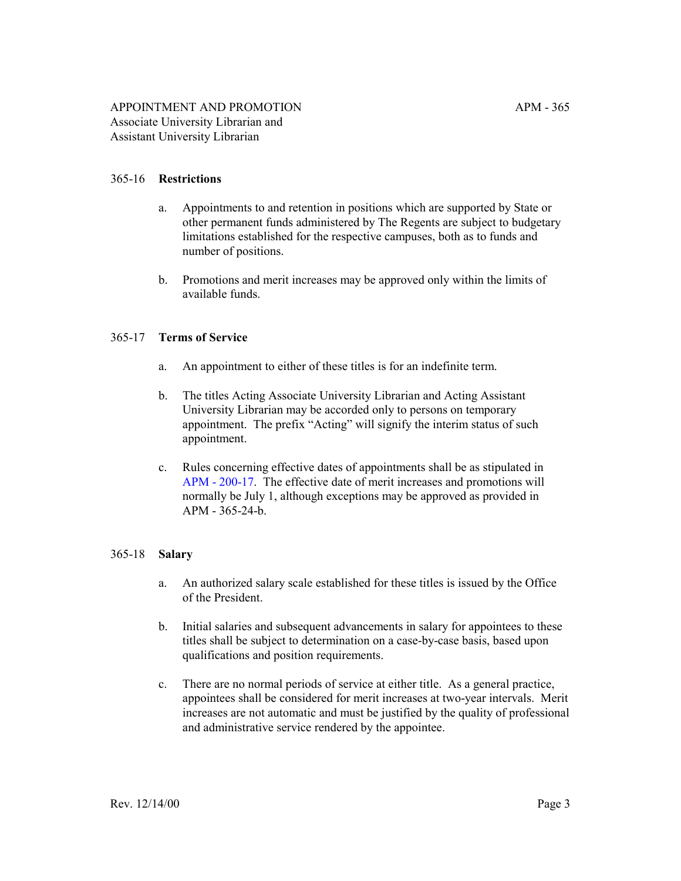# 365-16 **Restrictions**

- a. Appointments to and retention in positions which are supported by State or other permanent funds administered by The Regents are subject to budgetary limitations established for the respective campuses, both as to funds and number of positions.
- b. Promotions and merit increases may be approved only within the limits of available funds.

#### 365-17 **Terms of Service**

- a. An appointment to either of these titles is for an indefinite term.
- b. The titles Acting Associate University Librarian and Acting Assistant University Librarian may be accorded only to persons on temporary appointment. The prefix "Acting" will signify the interim status of such appointment.
- c. Rules concerning effective dates of appointments shall be as stipulated in [APM - 200-17](http://ucop.edu/academic-personnel-programs/_files/apm/apm-200.pdf). The effective date of merit increases and promotions will normally be July 1, although exceptions may be approved as provided in APM - 365-24-b.

# 365-18 **Salary**

- a. An authorized salary scale established for these titles is issued by the Office of the President.
- b. Initial salaries and subsequent advancements in salary for appointees to these titles shall be subject to determination on a case-by-case basis, based upon qualifications and position requirements.
- c. There are no normal periods of service at either title. As a general practice, appointees shall be considered for merit increases at two-year intervals. Merit increases are not automatic and must be justified by the quality of professional and administrative service rendered by the appointee.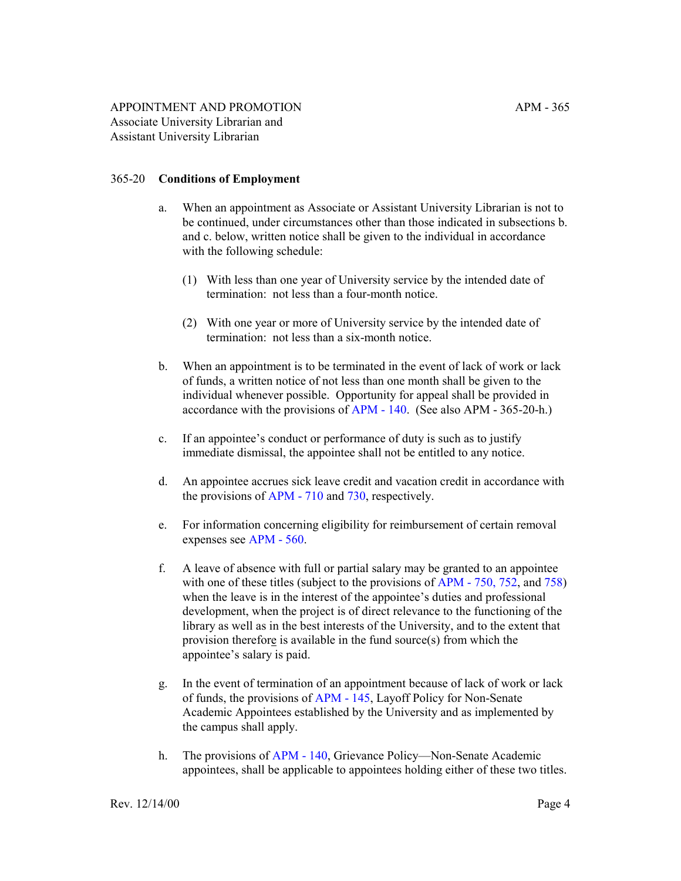## 365-20 **Conditions of Employment**

- a. When an appointment as Associate or Assistant University Librarian is not to be continued, under circumstances other than those indicated in subsections b. and c. below, written notice shall be given to the individual in accordance with the following schedule:
	- (1) With less than one year of University service by the intended date of termination: not less than a four-month notice.
	- (2) With one year or more of University service by the intended date of termination: not less than a six-month notice.
- b. When an appointment is to be terminated in the event of lack of work or lack of funds, a written notice of not less than one month shall be given to the individual whenever possible. Opportunity for appeal shall be provided in accordance with the provisions of [APM - 140](http://ucop.edu/academic-personnel-programs/_files/apm/apm-140.pdf). (See also APM - 365-20-h.)
- c. If an appointee's conduct or performance of duty is such as to justify immediate dismissal, the appointee shall not be entitled to any notice.
- d. An appointee accrues sick leave credit and vacation credit in accordance with the provisions of [APM - 710](http://ucop.edu/academic-personnel-programs/_files/apm/apm-710.pdf) and [730,](http://ucop.edu/academic-personnel-programs/_files/apm/apm-730.pdf) respectively.
- e. For information concerning eligibility for reimbursement of certain removal expenses see [APM - 560](http://ucop.edu/academic-personnel-programs/_files/apm/apm-560.pdf).
- f. A leave of absence with full or partial salary may be granted to an appointee with one of these titles (subject to the provisions of [APM - 750](http://ucop.edu/academic-personnel-programs/_files/apm/apm-750.pdf), [752](http://ucop.edu/academic-personnel-programs/_files/apm/apm-752.pdf), and [758](http://ucop.edu/academic-personnel-programs/_files/apm/apm-758.pdf)) when the leave is in the interest of the appointee's duties and professional development, when the project is of direct relevance to the functioning of the library as well as in the best interests of the University, and to the extent that provision therefore is available in the fund source(s) from which the appointee's salary is paid.
- g. In the event of termination of an appointment because of lack of work or lack of funds, the provisions of [APM - 145](http://ucop.edu/academic-personnel-programs/_files/apm/apm-145.pdf), Layoff Policy for Non-Senate Academic Appointees established by the University and as implemented by the campus shall apply.
- h. The provisions of [APM 140,](http://ucop.edu/academic-personnel-programs/_files/apm/apm-140.pdf) Grievance Policy—Non-Senate Academic appointees, shall be applicable to appointees holding either of these two titles.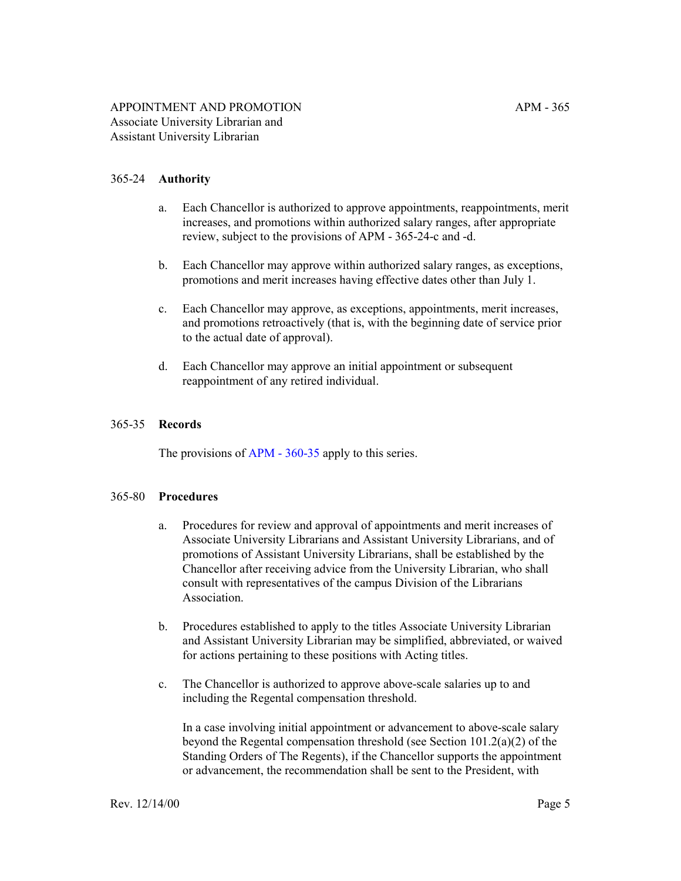## 365-24 **Authority**

- a. Each Chancellor is authorized to approve appointments, reappointments, merit increases, and promotions within authorized salary ranges, after appropriate review, subject to the provisions of APM - 365-24-c and -d.
- b. Each Chancellor may approve within authorized salary ranges, as exceptions, promotions and merit increases having effective dates other than July 1.
- c. Each Chancellor may approve, as exceptions, appointments, merit increases, and promotions retroactively (that is, with the beginning date of service prior to the actual date of approval).
- d. Each Chancellor may approve an initial appointment or subsequent reappointment of any retired individual.

#### 365-35 **Records**

The provisions of [APM - 360-35](http://ucop.edu/academic-personnel-programs/_files/apm/apm-360.pdf) apply to this series.

#### 365-80 **Procedures**

- a. Procedures for review and approval of appointments and merit increases of Associate University Librarians and Assistant University Librarians, and of promotions of Assistant University Librarians, shall be established by the Chancellor after receiving advice from the University Librarian, who shall consult with representatives of the campus Division of the Librarians Association.
- b. Procedures established to apply to the titles Associate University Librarian and Assistant University Librarian may be simplified, abbreviated, or waived for actions pertaining to these positions with Acting titles.
- c. The Chancellor is authorized to approve above-scale salaries up to and including the Regental compensation threshold.

In a case involving initial appointment or advancement to above-scale salary beyond the Regental compensation threshold (see Section 101.2(a)(2) of the Standing Orders of The Regents), if the Chancellor supports the appointment or advancement, the recommendation shall be sent to the President, with